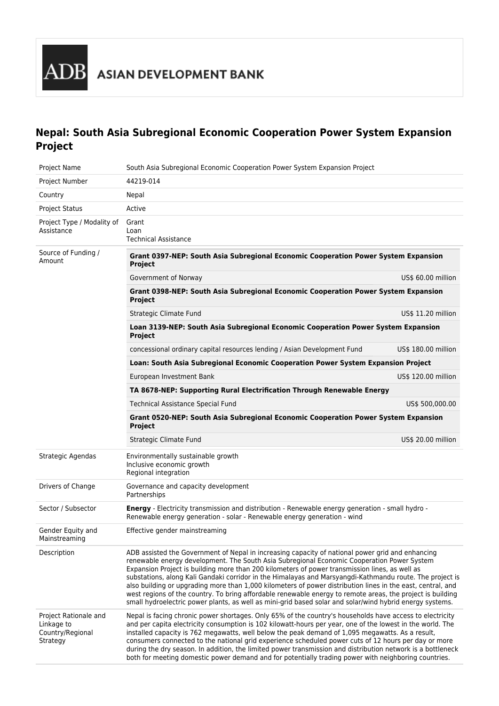# **Nepal: South Asia Subregional Economic Cooperation Power System Expansion Project**

| Project Name                                                        | South Asia Subregional Economic Cooperation Power System Expansion Project                                                                                                                                                                                                                                                                                                                                                                                                                                                                                                                                                                                                                                                                            |                     |  |  |  |
|---------------------------------------------------------------------|-------------------------------------------------------------------------------------------------------------------------------------------------------------------------------------------------------------------------------------------------------------------------------------------------------------------------------------------------------------------------------------------------------------------------------------------------------------------------------------------------------------------------------------------------------------------------------------------------------------------------------------------------------------------------------------------------------------------------------------------------------|---------------------|--|--|--|
| Project Number                                                      | 44219-014                                                                                                                                                                                                                                                                                                                                                                                                                                                                                                                                                                                                                                                                                                                                             |                     |  |  |  |
| Country                                                             | Nepal                                                                                                                                                                                                                                                                                                                                                                                                                                                                                                                                                                                                                                                                                                                                                 |                     |  |  |  |
| <b>Project Status</b>                                               | Active                                                                                                                                                                                                                                                                                                                                                                                                                                                                                                                                                                                                                                                                                                                                                |                     |  |  |  |
| Project Type / Modality of<br>Assistance                            | Grant<br>Loan<br><b>Technical Assistance</b>                                                                                                                                                                                                                                                                                                                                                                                                                                                                                                                                                                                                                                                                                                          |                     |  |  |  |
| Source of Funding /<br>Amount                                       | Grant 0397-NEP: South Asia Subregional Economic Cooperation Power System Expansion<br>Project                                                                                                                                                                                                                                                                                                                                                                                                                                                                                                                                                                                                                                                         |                     |  |  |  |
|                                                                     | Government of Norway                                                                                                                                                                                                                                                                                                                                                                                                                                                                                                                                                                                                                                                                                                                                  | US\$ 60.00 million  |  |  |  |
|                                                                     | Grant 0398-NEP: South Asia Subregional Economic Cooperation Power System Expansion<br><b>Project</b>                                                                                                                                                                                                                                                                                                                                                                                                                                                                                                                                                                                                                                                  |                     |  |  |  |
|                                                                     | Strategic Climate Fund                                                                                                                                                                                                                                                                                                                                                                                                                                                                                                                                                                                                                                                                                                                                | US\$ 11.20 million  |  |  |  |
|                                                                     | Loan 3139-NEP: South Asia Subregional Economic Cooperation Power System Expansion<br><b>Project</b>                                                                                                                                                                                                                                                                                                                                                                                                                                                                                                                                                                                                                                                   |                     |  |  |  |
|                                                                     | concessional ordinary capital resources lending / Asian Development Fund                                                                                                                                                                                                                                                                                                                                                                                                                                                                                                                                                                                                                                                                              | US\$ 180.00 million |  |  |  |
|                                                                     | Loan: South Asia Subregional Economic Cooperation Power System Expansion Project                                                                                                                                                                                                                                                                                                                                                                                                                                                                                                                                                                                                                                                                      |                     |  |  |  |
|                                                                     | European Investment Bank                                                                                                                                                                                                                                                                                                                                                                                                                                                                                                                                                                                                                                                                                                                              | US\$ 120.00 million |  |  |  |
|                                                                     | TA 8678-NEP: Supporting Rural Electrification Through Renewable Energy                                                                                                                                                                                                                                                                                                                                                                                                                                                                                                                                                                                                                                                                                |                     |  |  |  |
|                                                                     | <b>Technical Assistance Special Fund</b>                                                                                                                                                                                                                                                                                                                                                                                                                                                                                                                                                                                                                                                                                                              | US\$ 500,000.00     |  |  |  |
|                                                                     | Grant 0520-NEP: South Asia Subregional Economic Cooperation Power System Expansion<br>Project                                                                                                                                                                                                                                                                                                                                                                                                                                                                                                                                                                                                                                                         |                     |  |  |  |
|                                                                     | Strategic Climate Fund                                                                                                                                                                                                                                                                                                                                                                                                                                                                                                                                                                                                                                                                                                                                | US\$ 20.00 million  |  |  |  |
| Strategic Agendas                                                   | Environmentally sustainable growth<br>Inclusive economic growth<br>Regional integration                                                                                                                                                                                                                                                                                                                                                                                                                                                                                                                                                                                                                                                               |                     |  |  |  |
| Drivers of Change                                                   | Governance and capacity development<br>Partnerships                                                                                                                                                                                                                                                                                                                                                                                                                                                                                                                                                                                                                                                                                                   |                     |  |  |  |
| Sector / Subsector                                                  | <b>Energy</b> - Electricity transmission and distribution - Renewable energy generation - small hydro -<br>Renewable energy generation - solar - Renewable energy generation - wind                                                                                                                                                                                                                                                                                                                                                                                                                                                                                                                                                                   |                     |  |  |  |
| Gender Equity and<br>Mainstreaming                                  | Effective gender mainstreaming                                                                                                                                                                                                                                                                                                                                                                                                                                                                                                                                                                                                                                                                                                                        |                     |  |  |  |
| Description                                                         | ADB assisted the Government of Nepal in increasing capacity of national power grid and enhancing<br>renewable energy development. The South Asia Subregional Economic Cooperation Power System<br>Expansion Project is building more than 200 kilometers of power transmission lines, as well as<br>substations, along Kali Gandaki corridor in the Himalayas and Marsyangdi-Kathmandu route. The project is<br>also building or upgrading more than 1,000 kilometers of power distribution lines in the east, central, and<br>west regions of the country. To bring affordable renewable energy to remote areas, the project is building<br>small hydroelectric power plants, as well as mini-grid based solar and solar/wind hybrid energy systems. |                     |  |  |  |
| Project Rationale and<br>Linkage to<br>Country/Regional<br>Strategy | Nepal is facing chronic power shortages. Only 65% of the country's households have access to electricity<br>and per capita electricity consumption is 102 kilowatt-hours per year, one of the lowest in the world. The<br>installed capacity is 762 megawatts, well below the peak demand of 1,095 megawatts. As a result,<br>consumers connected to the national grid experience scheduled power cuts of 12 hours per day or more<br>during the dry season. In addition, the limited power transmission and distribution network is a bottleneck<br>both for meeting domestic power demand and for potentially trading power with neighboring countries.                                                                                             |                     |  |  |  |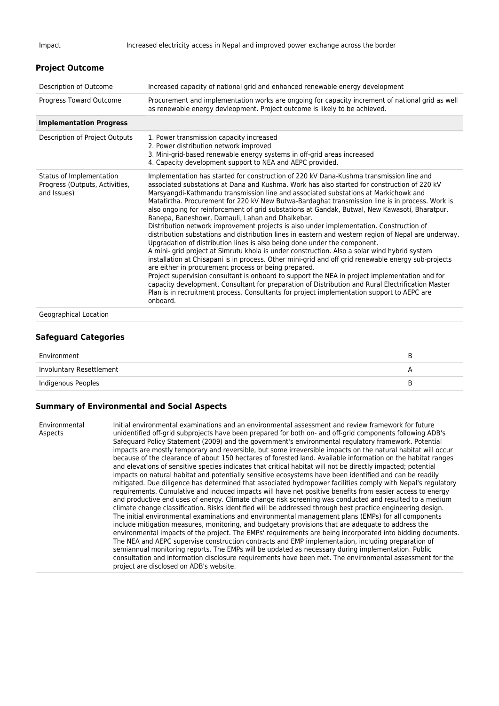| <b>Project Outcome</b>                                                    |                                                                                                                                                                                                                                                                                                                                                                                                                                                                                                                                                                                                                                                                                                                                                                                                                                                                                                                                                                                                                                                                                                                                                                                                                                                                                                                                                                                                        |
|---------------------------------------------------------------------------|--------------------------------------------------------------------------------------------------------------------------------------------------------------------------------------------------------------------------------------------------------------------------------------------------------------------------------------------------------------------------------------------------------------------------------------------------------------------------------------------------------------------------------------------------------------------------------------------------------------------------------------------------------------------------------------------------------------------------------------------------------------------------------------------------------------------------------------------------------------------------------------------------------------------------------------------------------------------------------------------------------------------------------------------------------------------------------------------------------------------------------------------------------------------------------------------------------------------------------------------------------------------------------------------------------------------------------------------------------------------------------------------------------|
| Description of Outcome                                                    | Increased capacity of national grid and enhanced renewable energy development                                                                                                                                                                                                                                                                                                                                                                                                                                                                                                                                                                                                                                                                                                                                                                                                                                                                                                                                                                                                                                                                                                                                                                                                                                                                                                                          |
| Progress Toward Outcome                                                   | Procurement and implementation works are ongoing for capacity increment of national grid as well<br>as renewable energy devleopment. Project outcome is likely to be achieved.                                                                                                                                                                                                                                                                                                                                                                                                                                                                                                                                                                                                                                                                                                                                                                                                                                                                                                                                                                                                                                                                                                                                                                                                                         |
| <b>Implementation Progress</b>                                            |                                                                                                                                                                                                                                                                                                                                                                                                                                                                                                                                                                                                                                                                                                                                                                                                                                                                                                                                                                                                                                                                                                                                                                                                                                                                                                                                                                                                        |
| Description of Project Outputs                                            | 1. Power transmission capacity increased<br>2. Power distribution network improved<br>3. Mini-grid-based renewable energy systems in off-grid areas increased<br>4. Capacity development support to NEA and AEPC provided.                                                                                                                                                                                                                                                                                                                                                                                                                                                                                                                                                                                                                                                                                                                                                                                                                                                                                                                                                                                                                                                                                                                                                                             |
| Status of Implementation<br>Progress (Outputs, Activities,<br>and Issues) | Implementation has started for construction of 220 kV Dana-Kushma transmission line and<br>associated substations at Dana and Kushma. Work has also started for construction of 220 kV<br>Marsyangdi-Kathmandu transmission line and associated substations at Markichowk and<br>Matatirtha. Procurement for 220 kV New Butwa-Bardaghat transmission line is in process. Work is<br>also ongoing for reinforcement of grid substations at Gandak, Butwal, New Kawasoti, Bharatpur,<br>Banepa, Baneshowr, Damauli, Lahan and Dhalkebar.<br>Distribution network improvement projects is also under implementation. Construction of<br>distribution substations and distribution lines in eastern and western region of Nepal are underway.<br>Upgradation of distribution lines is also being done under the component.<br>A mini- grid project at Simrutu khola is under construction. Also a solar wind hybrid system<br>installation at Chisapani is in process. Other mini-grid and off grid renewable energy sub-projects<br>are either in procurement process or being prepared.<br>Project supervision consultant is onboard to support the NEA in project implementation and for<br>capacity development. Consultant for preparation of Distribution and Rural Electrification Master<br>Plan is in recruitment process. Consultants for project implementation support to AEPC are<br>onboard. |
| Geographical Location                                                     |                                                                                                                                                                                                                                                                                                                                                                                                                                                                                                                                                                                                                                                                                                                                                                                                                                                                                                                                                                                                                                                                                                                                                                                                                                                                                                                                                                                                        |

#### **Safeguard Categories**

| Environment              |  |
|--------------------------|--|
| Involuntary Resettlement |  |
| Indigenous Peoples       |  |

#### **Summary of Environmental and Social Aspects**

Environmental Aspects

Initial environmental examinations and an environmental assessment and review framework for future unidentified off-grid subprojects have been prepared for both on- and off-grid components following ADB's Safeguard Policy Statement (2009) and the government's environmental regulatory framework. Potential impacts are mostly temporary and reversible, but some irreversible impacts on the natural habitat will occur because of the clearance of about 150 hectares of forested land. Available information on the habitat ranges and elevations of sensitive species indicates that critical habitat will not be directly impacted; potential impacts on natural habitat and potentially sensitive ecosystems have been identified and can be readily mitigated. Due diligence has determined that associated hydropower facilities comply with Nepal's regulatory requirements. Cumulative and induced impacts will have net positive benefits from easier access to energy and productive end uses of energy. Climate change risk screening was conducted and resulted to a medium climate change classification. Risks identified will be addressed through best practice engineering design. The initial environmental examinations and environmental management plans (EMPs) for all components include mitigation measures, monitoring, and budgetary provisions that are adequate to address the environmental impacts of the project. The EMPs' requirements are being incorporated into bidding documents. The NEA and AEPC supervise construction contracts and EMP implementation, including preparation of semiannual monitoring reports. The EMPs will be updated as necessary during implementation. Public consultation and information disclosure requirements have been met. The environmental assessment for the project are disclosed on ADB's website.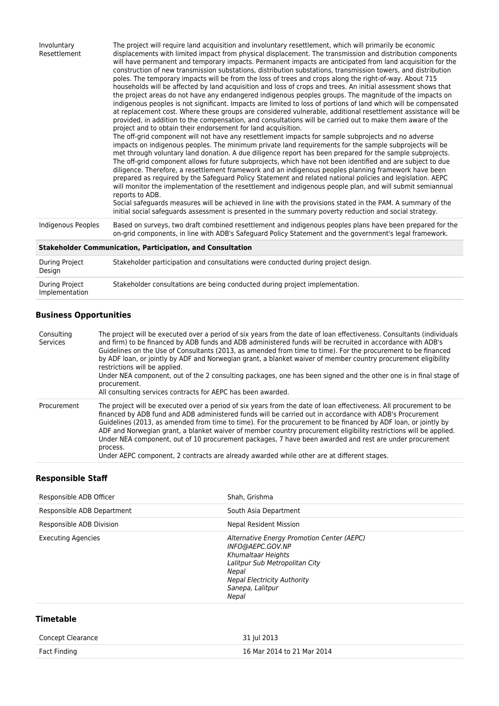| Involuntary<br>Resettlement | The project will require land acquisition and involuntary resettlement, which will primarily be economic<br>displacements with limited impact from physical displacement. The transmission and distribution components<br>will have permanent and temporary impacts. Permanent impacts are anticipated from land acquisition for the<br>construction of new transmission substations, distribution substations, transmission towers, and distribution<br>poles. The temporary impacts will be from the loss of trees and crops along the right-of-way. About 715<br>households will be affected by land acquisition and loss of crops and trees. An initial assessment shows that<br>the project areas do not have any endangered indigenous peoples groups. The magnitude of the impacts on<br>indigenous peoples is not significant. Impacts are limited to loss of portions of land which will be compensated<br>at replacement cost. Where these groups are considered vulnerable, additional resettlement assistance will be<br>provided, in addition to the compensation, and consultations will be carried out to make them aware of the<br>project and to obtain their endorsement for land acquisition.<br>The off-grid component will not have any resettlement impacts for sample subprojects and no adverse<br>impacts on indigenous peoples. The minimum private land requirements for the sample subprojects will be<br>met through voluntary land donation. A due diligence report has been prepared for the sample subprojects.<br>The off-grid component allows for future subprojects, which have not been identified and are subject to due<br>diligence. Therefore, a resettlement framework and an indigenous peoples planning framework have been<br>prepared as required by the Safequard Policy Statement and related national policies and legislation. AEPC<br>will monitor the implementation of the resettlement and indigenous people plan, and will submit semiannual<br>reports to ADB.<br>Social safeguards measures will be achieved in line with the provisions stated in the PAM. A summary of the<br>initial social safeguards assessment is presented in the summary poverty reduction and social strategy. |
|-----------------------------|--------------------------------------------------------------------------------------------------------------------------------------------------------------------------------------------------------------------------------------------------------------------------------------------------------------------------------------------------------------------------------------------------------------------------------------------------------------------------------------------------------------------------------------------------------------------------------------------------------------------------------------------------------------------------------------------------------------------------------------------------------------------------------------------------------------------------------------------------------------------------------------------------------------------------------------------------------------------------------------------------------------------------------------------------------------------------------------------------------------------------------------------------------------------------------------------------------------------------------------------------------------------------------------------------------------------------------------------------------------------------------------------------------------------------------------------------------------------------------------------------------------------------------------------------------------------------------------------------------------------------------------------------------------------------------------------------------------------------------------------------------------------------------------------------------------------------------------------------------------------------------------------------------------------------------------------------------------------------------------------------------------------------------------------------------------------------------------------------------------------------------------------------------------------------------------------------------------------------------------------------|
| Indigenous Peoples          | Based on surveys, two draft combined resettlement and indigenous peoples plans have been prepared for the<br>on-grid components, in line with ADB's Safeguard Policy Statement and the government's legal framework.                                                                                                                                                                                                                                                                                                                                                                                                                                                                                                                                                                                                                                                                                                                                                                                                                                                                                                                                                                                                                                                                                                                                                                                                                                                                                                                                                                                                                                                                                                                                                                                                                                                                                                                                                                                                                                                                                                                                                                                                                             |
|                             | <b>Stakeholder Communication, Participation, and Consultation</b>                                                                                                                                                                                                                                                                                                                                                                                                                                                                                                                                                                                                                                                                                                                                                                                                                                                                                                                                                                                                                                                                                                                                                                                                                                                                                                                                                                                                                                                                                                                                                                                                                                                                                                                                                                                                                                                                                                                                                                                                                                                                                                                                                                                |
| <b>During Project</b>       | Stakeholder participation and consultations were conducted during project design.                                                                                                                                                                                                                                                                                                                                                                                                                                                                                                                                                                                                                                                                                                                                                                                                                                                                                                                                                                                                                                                                                                                                                                                                                                                                                                                                                                                                                                                                                                                                                                                                                                                                                                                                                                                                                                                                                                                                                                                                                                                                                                                                                                |

| Design                           |                                                                              |
|----------------------------------|------------------------------------------------------------------------------|
| During Project<br>Implementation | Stakeholder consultations are being conducted during project implementation. |

## **Business Opportunities**

| Consulting<br>Services | The project will be executed over a period of six years from the date of loan effectiveness. Consultants (individuals<br>and firm) to be financed by ADB funds and ADB administered funds will be recruited in accordance with ADB's<br>Guidelines on the Use of Consultants (2013, as amended from time to time). For the procurement to be financed<br>by ADF loan, or jointly by ADF and Norwegian grant, a blanket waiver of member country procurement eligibility<br>restrictions will be applied.<br>Under NEA component, out of the 2 consulting packages, one has been signed and the other one is in final stage of<br>procurement.<br>All consulting services contracts for AEPC has been awarded. |
|------------------------|---------------------------------------------------------------------------------------------------------------------------------------------------------------------------------------------------------------------------------------------------------------------------------------------------------------------------------------------------------------------------------------------------------------------------------------------------------------------------------------------------------------------------------------------------------------------------------------------------------------------------------------------------------------------------------------------------------------|
| Procurement            | The project will be executed over a period of six years from the date of loan effectiveness. All procurement to be<br>financed by ADB fund and ADB administered funds will be carried out in accordance with ADB's Procurement<br>Guidelines (2013, as amended from time to time). For the procurement to be financed by ADF loan, or jointly by<br>ADF and Norwegian grant, a blanket waiver of member country procurement eligibility restrictions will be applied.<br>Under NEA component, out of 10 procurement packages, 7 have been awarded and rest are under procurement<br>process.<br>Under AEPC component, 2 contracts are already awarded while other are at different stages.                    |

## **Responsible Staff**

| Responsible ADB Officer    | Shah, Grishma                                                                                                                                                                                      |
|----------------------------|----------------------------------------------------------------------------------------------------------------------------------------------------------------------------------------------------|
| Responsible ADB Department | South Asia Department                                                                                                                                                                              |
| Responsible ADB Division   | <b>Nepal Resident Mission</b>                                                                                                                                                                      |
| <b>Executing Agencies</b>  | Alternative Energy Promotion Center (AEPC)<br>INFO@AEPC.GOV.NP<br>Khumaltaar Heights<br>Lalitpur Sub Metropolitan City<br>Nepal<br><b>Nepal Electricity Authority</b><br>Sanepa, Lalitpur<br>Nepal |

### **Timetable**

| Concept Clearance | 31 Jul 2013                |
|-------------------|----------------------------|
| Fact Finding      | 16 Mar 2014 to 21 Mar 2014 |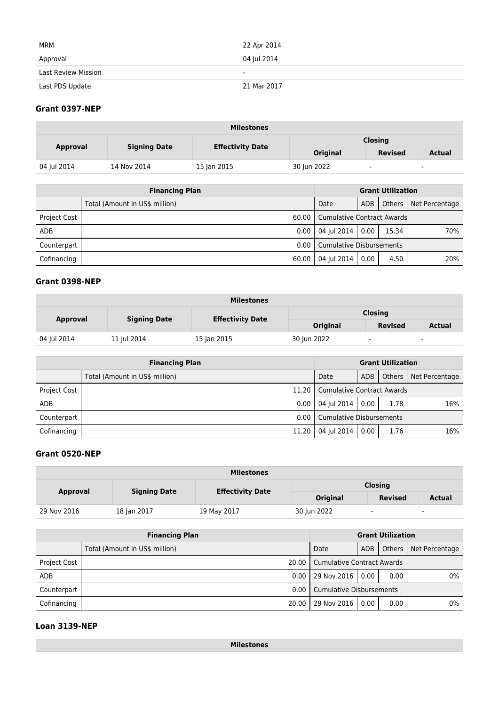| MRM                        | 22 Apr 2014 |
|----------------------------|-------------|
| Approval                   | 04 Jul 2014 |
| <b>Last Review Mission</b> | $\sim$      |
| Last PDS Update            | 21 Mar 2017 |

### **Grant 0397-NEP**

| <b>Milestones</b> |                     |                         |                 |                |               |  |
|-------------------|---------------------|-------------------------|-----------------|----------------|---------------|--|
| <b>Approval</b>   | <b>Signing Date</b> | <b>Effectivity Date</b> | <b>Closing</b>  |                |               |  |
|                   |                     |                         | <b>Original</b> | <b>Revised</b> | <b>Actual</b> |  |
| 04 Jul 2014       | 14 Nov 2014         | 15 Jan 2015             | 30 Jun 2022     | $\blacksquare$ | $\sim$        |  |

| <b>Financing Plan</b> |                                |                                   | <b>Grant Utilization</b> |       |                         |
|-----------------------|--------------------------------|-----------------------------------|--------------------------|-------|-------------------------|
|                       | Total (Amount in US\$ million) | Date                              | ADB                      |       | Others   Net Percentage |
| <b>Project Cost</b>   | 60.00                          | <b>Cumulative Contract Awards</b> |                          |       |                         |
| ADB                   | 0.00                           | 04 Jul 2014                       | 0.00                     | 15.34 | 70%                     |
| Counterpart           | 0.00                           | <b>Cumulative Disbursements</b>   |                          |       |                         |
| Cofinancing           | 60.00                          | 04 Jul 2014<br>4.50<br>0.00       |                          |       | 20%                     |

#### **Grant 0398-NEP**

| <b>Milestones</b> |                     |                         |                 |                |                          |  |
|-------------------|---------------------|-------------------------|-----------------|----------------|--------------------------|--|
| <b>Approval</b>   | <b>Signing Date</b> | <b>Effectivity Date</b> | <b>Closing</b>  |                |                          |  |
|                   |                     |                         | <b>Original</b> | <b>Revised</b> | Actual                   |  |
| 04 Jul 2014       | 11 Jul 2014         | 15 Jan 2015             | 30 Jun 2022     | $\sim$         | $\overline{\phantom{a}}$ |  |

|                     | <b>Financing Plan</b>          | <b>Grant Utilization</b>   |      |      |                         |
|---------------------|--------------------------------|----------------------------|------|------|-------------------------|
|                     | Total (Amount in US\$ million) | Date                       | ADB  |      | Others   Net Percentage |
| <b>Project Cost</b> | 11.20                          | Cumulative Contract Awards |      |      |                         |
| ADB                 | 0.00                           | 04 Jul 2014                | 0.00 | 1.78 | 16%                     |
| Counterpart         | 0.00                           | LCumulative Disbursements  |      |      |                         |
| Cofinancing         | 11.20                          | 04 Jul 2014                | 0.00 | 1.76 | 16%                     |

#### **Grant 0520-NEP**

| <b>Milestones</b> |                     |                         |                 |                |        |  |  |  |
|-------------------|---------------------|-------------------------|-----------------|----------------|--------|--|--|--|
|                   |                     |                         | <b>Closing</b>  |                |        |  |  |  |
| <b>Approval</b>   | <b>Signing Date</b> | <b>Effectivity Date</b> | <b>Original</b> | <b>Revised</b> | Actual |  |  |  |
| 29 Nov 2016       | 18 Jan 2017         | 19 May 2017             | 30 Jun 2022     |                | ۰      |  |  |  |

|                     | <b>Financing Plan</b>          |                                   |      | <b>Grant Utilization</b> |                         |
|---------------------|--------------------------------|-----------------------------------|------|--------------------------|-------------------------|
|                     | Total (Amount in US\$ million) | Date                              | ADB  |                          | Others   Net Percentage |
| <b>Project Cost</b> | 20.00 L                        | <b>Cumulative Contract Awards</b> |      |                          |                         |
| <b>ADB</b>          | 0.00                           | 29 Nov 2016                       | 0.00 | 0.00                     | 0%                      |
| Counterpart         | 0.00                           | <b>Cumulative Disbursements</b>   |      |                          |                         |
| Cofinancing         | 20.00                          | 29 Nov 2016                       | 0.00 | 0.00                     | 0%                      |

#### **Loan 3139-NEP**